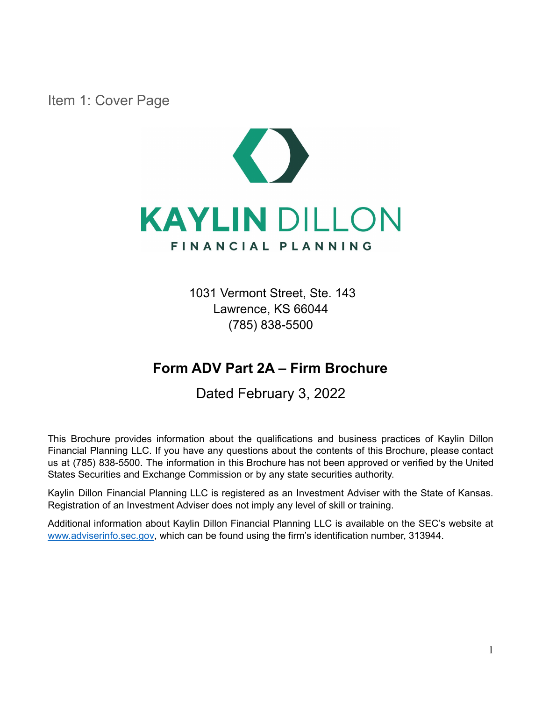<span id="page-0-0"></span>Item 1: Cover Page



1031 Vermont Street, Ste. 143 Lawrence, KS 66044 (785) 838-5500

# **Form ADV Part 2A – Firm Brochure**

Dated February 3, 2022

This Brochure provides information about the qualifications and business practices of Kaylin Dillon Financial Planning LLC. If you have any questions about the contents of this Brochure, please contact us at (785) 838-5500. The information in this Brochure has not been approved or verified by the United States Securities and Exchange Commission or by any state securities authority.

Kaylin Dillon Financial Planning LLC is registered as an Investment Adviser with the State of Kansas. Registration of an Investment Adviser does not imply any level of skill or training.

Additional information about Kaylin Dillon Financial Planning LLC is available on the SEC's website at [www.adviserinfo.sec.gov](http://www.adviserinfo.sec.gov), which can be found using the firm's identification number, 313944.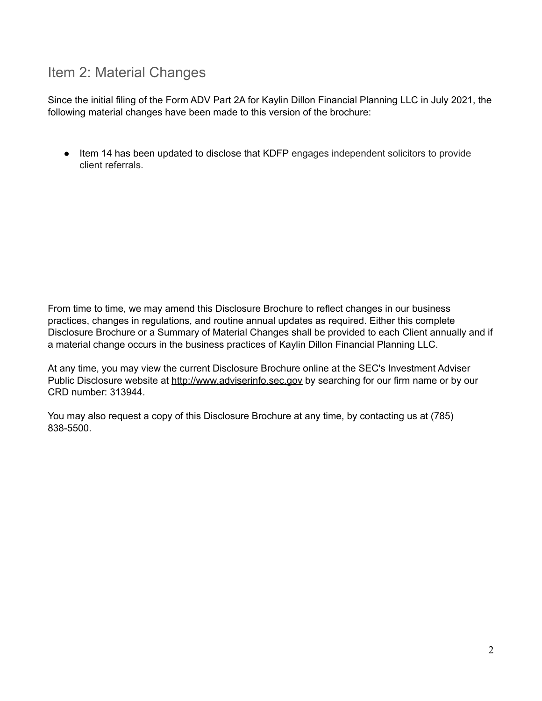# <span id="page-1-0"></span>Item 2: Material Changes

Since the initial filing of the Form ADV Part 2A for Kaylin Dillon Financial Planning LLC in July 2021, the following material changes have been made to this version of the brochure:

● Item 14 has been updated to disclose that KDFP engages independent solicitors to provide client referrals.

From time to time, we may amend this Disclosure Brochure to reflect changes in our business practices, changes in regulations, and routine annual updates as required. Either this complete Disclosure Brochure or a Summary of Material Changes shall be provided to each Client annually and if a material change occurs in the business practices of Kaylin Dillon Financial Planning LLC.

At any time, you may view the current Disclosure Brochure online at the SEC's Investment Adviser Public Disclosure website at [http://www.adviserinfo.sec.gov](http://www.adviserinfo.sec.gov/) by searching for our firm name or by our CRD number: 313944.

You may also request a copy of this Disclosure Brochure at any time, by contacting us at (785) 838-5500.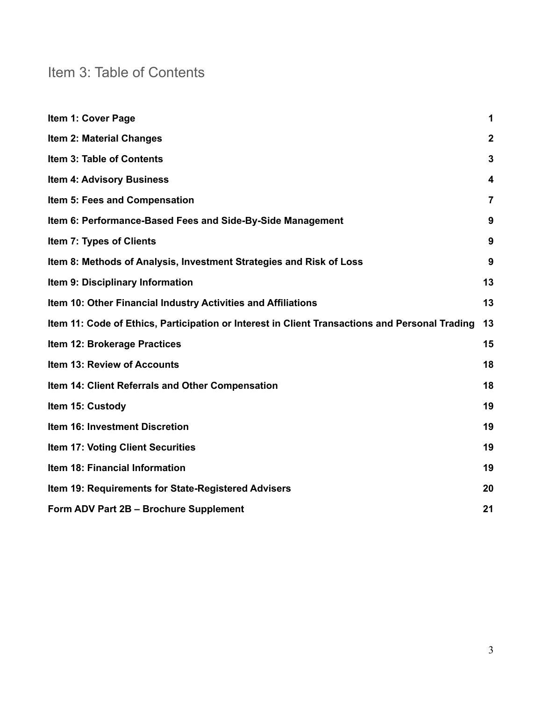# <span id="page-2-0"></span>Item 3: Table of Contents

| Item 1: Cover Page                                                                             | 1              |
|------------------------------------------------------------------------------------------------|----------------|
| <b>Item 2: Material Changes</b>                                                                | $\overline{2}$ |
| Item 3: Table of Contents                                                                      | 3              |
| <b>Item 4: Advisory Business</b>                                                               | 4              |
| Item 5: Fees and Compensation                                                                  | $\overline{7}$ |
| Item 6: Performance-Based Fees and Side-By-Side Management                                     | 9              |
| Item 7: Types of Clients                                                                       | 9              |
| Item 8: Methods of Analysis, Investment Strategies and Risk of Loss                            | 9              |
| Item 9: Disciplinary Information                                                               | 13             |
| Item 10: Other Financial Industry Activities and Affiliations                                  | 13             |
| Item 11: Code of Ethics, Participation or Interest in Client Transactions and Personal Trading | 13             |
| Item 12: Brokerage Practices                                                                   | 15             |
| <b>Item 13: Review of Accounts</b>                                                             | 18             |
| Item 14: Client Referrals and Other Compensation                                               | 18             |
| Item 15: Custody                                                                               | 19             |
| Item 16: Investment Discretion                                                                 | 19             |
| Item 17: Voting Client Securities                                                              | 19             |
| Item 18: Financial Information                                                                 | 19             |
| Item 19: Requirements for State-Registered Advisers                                            | 20             |
| Form ADV Part 2B - Brochure Supplement                                                         | 21             |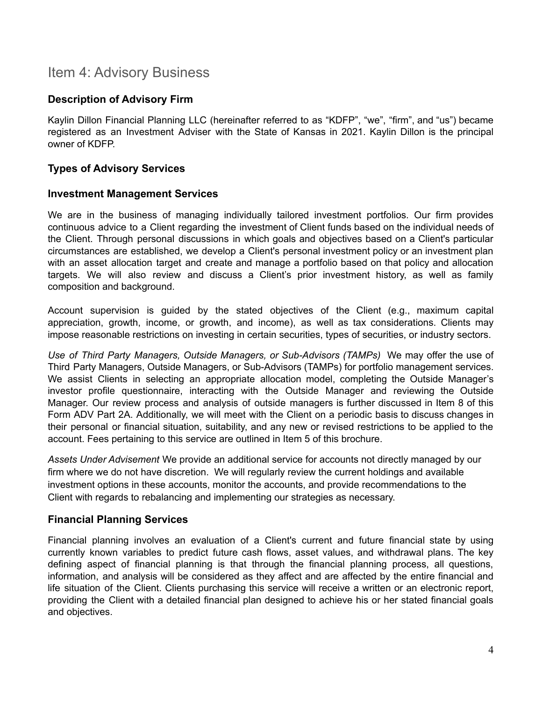## <span id="page-3-0"></span>Item 4: Advisory Business

## **Description of Advisory Firm**

Kaylin Dillon Financial Planning LLC (hereinafter referred to as "KDFP", "we", "firm", and "us") became registered as an Investment Adviser with the State of Kansas in 2021. Kaylin Dillon is the principal owner of KDFP.

## **Types of Advisory Services**

#### **Investment Management Services**

We are in the business of managing individually tailored investment portfolios. Our firm provides continuous advice to a Client regarding the investment of Client funds based on the individual needs of the Client. Through personal discussions in which goals and objectives based on a Client's particular circumstances are established, we develop a Client's personal investment policy or an investment plan with an asset allocation target and create and manage a portfolio based on that policy and allocation targets. We will also review and discuss a Client's prior investment history, as well as family composition and background.

Account supervision is guided by the stated objectives of the Client (e.g., maximum capital appreciation, growth, income, or growth, and income), as well as tax considerations. Clients may impose reasonable restrictions on investing in certain securities, types of securities, or industry sectors.

*Use of Third Party Managers, Outside Managers, or Sub-Advisors (TAMPs)* We may offer the use of Third Party Managers, Outside Managers, or Sub-Advisors (TAMPs) for portfolio management services. We assist Clients in selecting an appropriate allocation model, completing the Outside Manager's investor profile questionnaire, interacting with the Outside Manager and reviewing the Outside Manager. Our review process and analysis of outside managers is further discussed in Item 8 of this Form ADV Part 2A. Additionally, we will meet with the Client on a periodic basis to discuss changes in their personal or financial situation, suitability, and any new or revised restrictions to be applied to the account. Fees pertaining to this service are outlined in Item 5 of this brochure.

*Assets Under Advisement* We provide an additional service for accounts not directly managed by our firm where we do not have discretion. We will regularly review the current holdings and available investment options in these accounts, monitor the accounts, and provide recommendations to the Client with regards to rebalancing and implementing our strategies as necessary.

#### **Financial Planning Services**

Financial planning involves an evaluation of a Client's current and future financial state by using currently known variables to predict future cash flows, asset values, and withdrawal plans. The key defining aspect of financial planning is that through the financial planning process, all questions, information, and analysis will be considered as they affect and are affected by the entire financial and life situation of the Client. Clients purchasing this service will receive a written or an electronic report, providing the Client with a detailed financial plan designed to achieve his or her stated financial goals and objectives.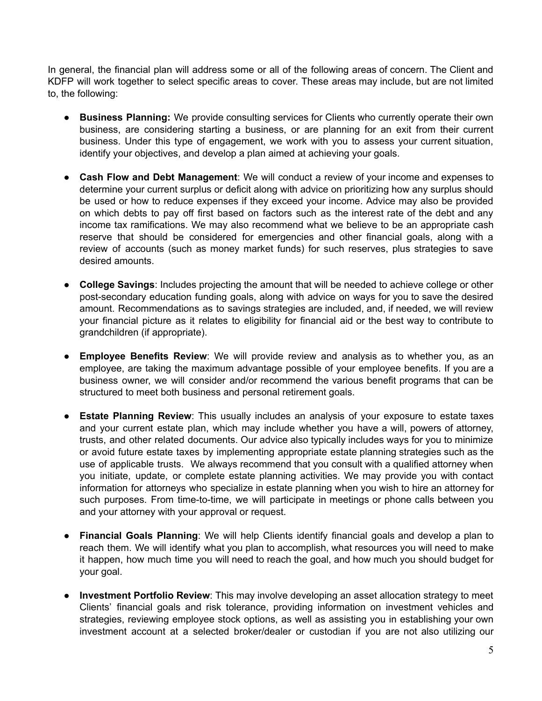In general, the financial plan will address some or all of the following areas of concern. The Client and KDFP will work together to select specific areas to cover. These areas may include, but are not limited to, the following:

- **Business Planning:** We provide consulting services for Clients who currently operate their own business, are considering starting a business, or are planning for an exit from their current business. Under this type of engagement, we work with you to assess your current situation, identify your objectives, and develop a plan aimed at achieving your goals.
- **Cash Flow and Debt Management**: We will conduct a review of your income and expenses to determine your current surplus or deficit along with advice on prioritizing how any surplus should be used or how to reduce expenses if they exceed your income. Advice may also be provided on which debts to pay off first based on factors such as the interest rate of the debt and any income tax ramifications. We may also recommend what we believe to be an appropriate cash reserve that should be considered for emergencies and other financial goals, along with a review of accounts (such as money market funds) for such reserves, plus strategies to save desired amounts.
- **College Savings**: Includes projecting the amount that will be needed to achieve college or other post-secondary education funding goals, along with advice on ways for you to save the desired amount. Recommendations as to savings strategies are included, and, if needed, we will review your financial picture as it relates to eligibility for financial aid or the best way to contribute to grandchildren (if appropriate).
- **Employee Benefits Review**: We will provide review and analysis as to whether you, as an employee, are taking the maximum advantage possible of your employee benefits. If you are a business owner, we will consider and/or recommend the various benefit programs that can be structured to meet both business and personal retirement goals.
- **Estate Planning Review**: This usually includes an analysis of your exposure to estate taxes and your current estate plan, which may include whether you have a will, powers of attorney, trusts, and other related documents. Our advice also typically includes ways for you to minimize or avoid future estate taxes by implementing appropriate estate planning strategies such as the use of applicable trusts. We always recommend that you consult with a qualified attorney when you initiate, update, or complete estate planning activities. We may provide you with contact information for attorneys who specialize in estate planning when you wish to hire an attorney for such purposes. From time-to-time, we will participate in meetings or phone calls between you and your attorney with your approval or request.
- **Financial Goals Planning**: We will help Clients identify financial goals and develop a plan to reach them. We will identify what you plan to accomplish, what resources you will need to make it happen, how much time you will need to reach the goal, and how much you should budget for your goal.
- **Investment Portfolio Review**: This may involve developing an asset allocation strategy to meet Clients' financial goals and risk tolerance, providing information on investment vehicles and strategies, reviewing employee stock options, as well as assisting you in establishing your own investment account at a selected broker/dealer or custodian if you are not also utilizing our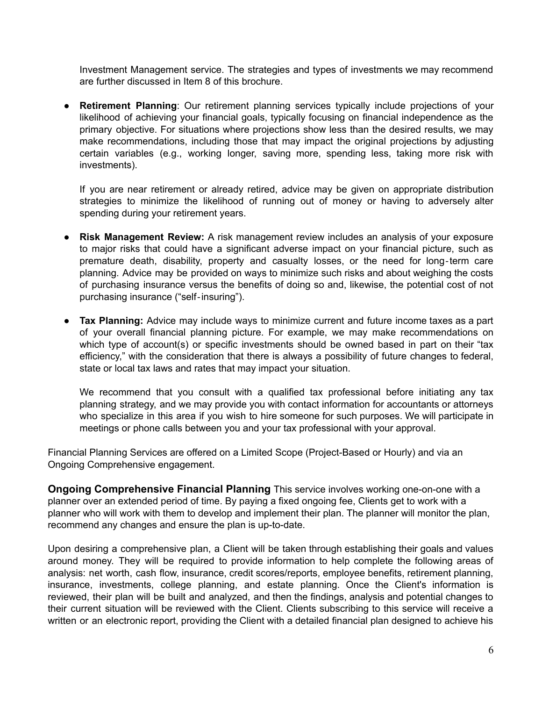Investment Management service. The strategies and types of investments we may recommend are further discussed in Item 8 of this brochure.

● **Retirement Planning**: Our retirement planning services typically include projections of your likelihood of achieving your financial goals, typically focusing on financial independence as the primary objective. For situations where projections show less than the desired results, we may make recommendations, including those that may impact the original projections by adjusting certain variables (e.g., working longer, saving more, spending less, taking more risk with investments).

If you are near retirement or already retired, advice may be given on appropriate distribution strategies to minimize the likelihood of running out of money or having to adversely alter spending during your retirement years.

- **Risk Management Review:** A risk management review includes an analysis of your exposure to major risks that could have a significant adverse impact on your financial picture, such as premature death, disability, property and casualty losses, or the need for long‐term care planning. Advice may be provided on ways to minimize such risks and about weighing the costs of purchasing insurance versus the benefits of doing so and, likewise, the potential cost of not purchasing insurance ("self‐insuring").
- **Tax Planning:** Advice may include ways to minimize current and future income taxes as a part of your overall financial planning picture. For example, we may make recommendations on which type of account(s) or specific investments should be owned based in part on their "tax efficiency," with the consideration that there is always a possibility of future changes to federal, state or local tax laws and rates that may impact your situation.

We recommend that you consult with a qualified tax professional before initiating any tax planning strategy, and we may provide you with contact information for accountants or attorneys who specialize in this area if you wish to hire someone for such purposes. We will participate in meetings or phone calls between you and your tax professional with your approval.

Financial Planning Services are offered on a Limited Scope (Project-Based or Hourly) and via an Ongoing Comprehensive engagement.

**Ongoing Comprehensive Financial Planning** This service involves working one-on-one with a planner over an extended period of time. By paying a fixed ongoing fee, Clients get to work with a planner who will work with them to develop and implement their plan. The planner will monitor the plan, recommend any changes and ensure the plan is up-to-date.

Upon desiring a comprehensive plan, a Client will be taken through establishing their goals and values around money. They will be required to provide information to help complete the following areas of analysis: net worth, cash flow, insurance, credit scores/reports, employee benefits, retirement planning, insurance, investments, college planning, and estate planning. Once the Client's information is reviewed, their plan will be built and analyzed, and then the findings, analysis and potential changes to their current situation will be reviewed with the Client. Clients subscribing to this service will receive a written or an electronic report, providing the Client with a detailed financial plan designed to achieve his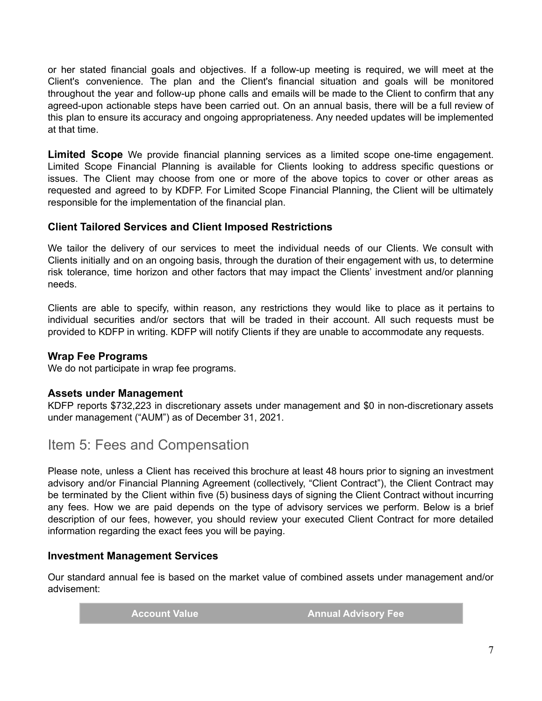or her stated financial goals and objectives. If a follow-up meeting is required, we will meet at the Client's convenience. The plan and the Client's financial situation and goals will be monitored throughout the year and follow-up phone calls and emails will be made to the Client to confirm that any agreed-upon actionable steps have been carried out. On an annual basis, there will be a full review of this plan to ensure its accuracy and ongoing appropriateness. Any needed updates will be implemented at that time.

**Limited Scope** We provide financial planning services as a limited scope one-time engagement. Limited Scope Financial Planning is available for Clients looking to address specific questions or issues. The Client may choose from one or more of the above topics to cover or other areas as requested and agreed to by KDFP. For Limited Scope Financial Planning, the Client will be ultimately responsible for the implementation of the financial plan.

### **Client Tailored Services and Client Imposed Restrictions**

We tailor the delivery of our services to meet the individual needs of our Clients. We consult with Clients initially and on an ongoing basis, through the duration of their engagement with us, to determine risk tolerance, time horizon and other factors that may impact the Clients' investment and/or planning needs.

Clients are able to specify, within reason, any restrictions they would like to place as it pertains to individual securities and/or sectors that will be traded in their account. All such requests must be provided to KDFP in writing. KDFP will notify Clients if they are unable to accommodate any requests.

#### **Wrap Fee Programs**

We do not participate in wrap fee programs.

#### **Assets under Management**

KDFP reports \$732,223 in discretionary assets under management and \$0 in non-discretionary assets under management ("AUM") as of December 31, 2021.

<span id="page-6-0"></span>Item 5: Fees and Compensation

Please note, unless a Client has received this brochure at least 48 hours prior to signing an investment advisory and/or Financial Planning Agreement (collectively, "Client Contract"), the Client Contract may be terminated by the Client within five (5) business days of signing the Client Contract without incurring any fees. How we are paid depends on the type of advisory services we perform. Below is a brief description of our fees, however, you should review your executed Client Contract for more detailed information regarding the exact fees you will be paying.

#### **Investment Management Services**

Our standard annual fee is based on the market value of combined assets under management and/or advisement:

**Account Value Annual Advisory Fee**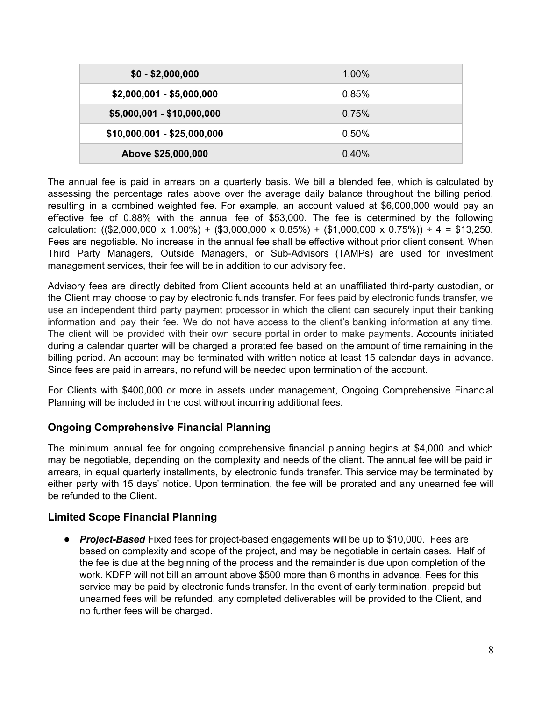| $$0 - $2,000,000$           | $1.00\%$ |
|-----------------------------|----------|
| $$2,000,001 - $5,000,000$   | 0.85%    |
| $$5,000,001 - $10,000,000$  | 0.75%    |
| $$10,000,001 - $25,000,000$ | 0.50%    |
| Above \$25,000,000          | $0.40\%$ |

The annual fee is paid in arrears on a quarterly basis. We bill a blended fee, which is calculated by assessing the percentage rates above over the average daily balance throughout the billing period, resulting in a combined weighted fee. For example, an account valued at \$6,000,000 would pay an effective fee of 0.88% with the annual fee of \$53,000. The fee is determined by the following calculation: ((\$2,000,000 x 1.00%) + (\$3,000,000 x 0.85%) + (\$1,000,000 x 0.75%)) ÷ 4 = \$13,250. Fees are negotiable. No increase in the annual fee shall be effective without prior client consent. When Third Party Managers, Outside Managers, or Sub-Advisors (TAMPs) are used for investment management services, their fee will be in addition to our advisory fee.

Advisory fees are directly debited from Client accounts held at an unaffiliated third-party custodian, or the Client may choose to pay by electronic funds transfer. For fees paid by electronic funds transfer, we use an independent third party payment processor in which the client can securely input their banking information and pay their fee. We do not have access to the client's banking information at any time. The client will be provided with their own secure portal in order to make payments. Accounts initiated during a calendar quarter will be charged a prorated fee based on the amount of time remaining in the billing period. An account may be terminated with written notice at least 15 calendar days in advance. Since fees are paid in arrears, no refund will be needed upon termination of the account.

For Clients with \$400,000 or more in assets under management, Ongoing Comprehensive Financial Planning will be included in the cost without incurring additional fees.

## **Ongoing Comprehensive Financial Planning**

The minimum annual fee for ongoing comprehensive financial planning begins at \$4,000 and which may be negotiable, depending on the complexity and needs of the client. The annual fee will be paid in arrears, in equal quarterly installments, by electronic funds transfer. This service may be terminated by either party with 15 days' notice. Upon termination, the fee will be prorated and any unearned fee will be refunded to the Client.

#### **Limited Scope Financial Planning**

**●** *Project-Based* Fixed fees for project-based engagements will be up to \$10,000. Fees are based on complexity and scope of the project, and may be negotiable in certain cases. Half of the fee is due at the beginning of the process and the remainder is due upon completion of the work. KDFP will not bill an amount above \$500 more than 6 months in advance. Fees for this service may be paid by electronic funds transfer. In the event of early termination, prepaid but unearned fees will be refunded, any completed deliverables will be provided to the Client, and no further fees will be charged.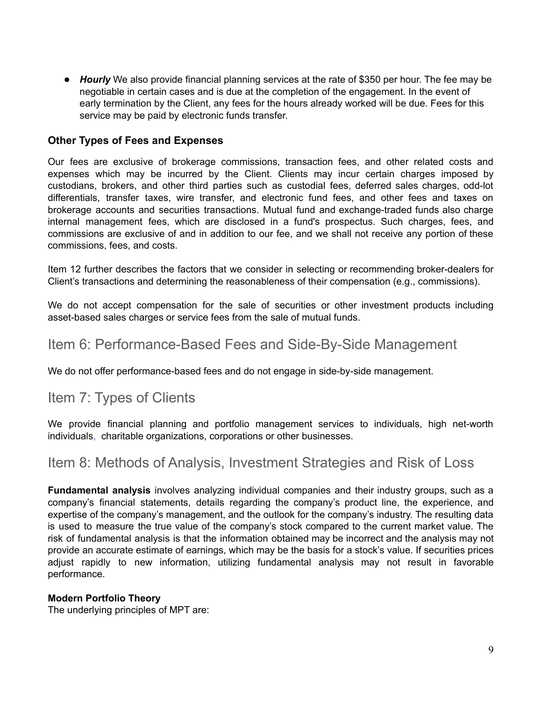**●** *Hourly* We also provide financial planning services at the rate of \$350 per hour. The fee may be negotiable in certain cases and is due at the completion of the engagement. In the event of early termination by the Client, any fees for the hours already worked will be due. Fees for this service may be paid by electronic funds transfer.

#### **Other Types of Fees and Expenses**

Our fees are exclusive of brokerage commissions, transaction fees, and other related costs and expenses which may be incurred by the Client. Clients may incur certain charges imposed by custodians, brokers, and other third parties such as custodial fees, deferred sales charges, odd-lot differentials, transfer taxes, wire transfer, and electronic fund fees, and other fees and taxes on brokerage accounts and securities transactions. Mutual fund and exchange-traded funds also charge internal management fees, which are disclosed in a fund's prospectus. Such charges, fees, and commissions are exclusive of and in addition to our fee, and we shall not receive any portion of these commissions, fees, and costs.

Item 12 further describes the factors that we consider in selecting or recommending broker-dealers for Client's transactions and determining the reasonableness of their compensation (e.g., commissions).

We do not accept compensation for the sale of securities or other investment products including asset-based sales charges or service fees from the sale of mutual funds.

## <span id="page-8-0"></span>Item 6: Performance-Based Fees and Side-By-Side Management

We do not offer performance-based fees and do not engage in side-by-side management.

## <span id="page-8-1"></span>Item 7: Types of Clients

We provide financial planning and portfolio management services to individuals, high net-worth individuals, charitable organizations, corporations or other businesses.

## <span id="page-8-2"></span>Item 8: Methods of Analysis, Investment Strategies and Risk of Loss

**Fundamental analysis** involves analyzing individual companies and their industry groups, such as a company's financial statements, details regarding the company's product line, the experience, and expertise of the company's management, and the outlook for the company's industry. The resulting data is used to measure the true value of the company's stock compared to the current market value. The risk of fundamental analysis is that the information obtained may be incorrect and the analysis may not provide an accurate estimate of earnings, which may be the basis for a stock's value. If securities prices adjust rapidly to new information, utilizing fundamental analysis may not result in favorable performance.

#### **Modern Portfolio Theory**

The underlying principles of MPT are: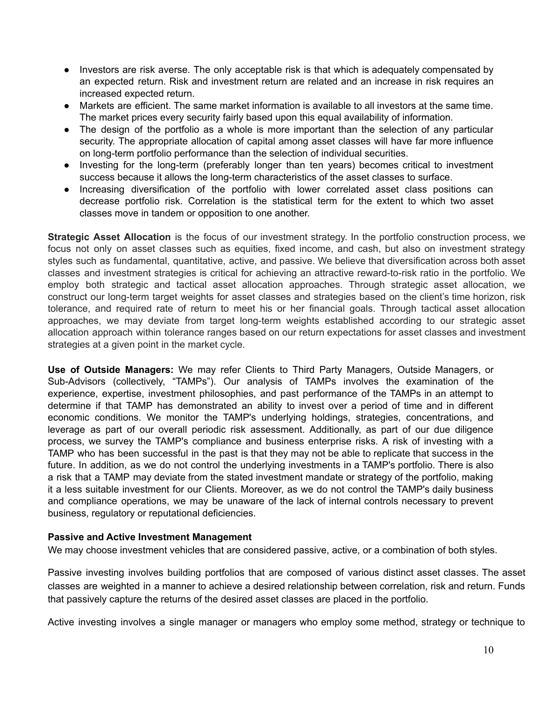- Investors are risk averse. The only acceptable risk is that which is adequately compensated by an expected return. Risk and investment return are related and an increase in risk requires an increased expected return.
- Markets are efficient. The same market information is available to all investors at the same time. The market prices every security fairly based upon this equal availability of information.
- The design of the portfolio as a whole is more important than the selection of any particular security. The appropriate allocation of capital among asset classes will have far more influence on long-term portfolio performance than the selection of individual securities.
- Investing for the long-term (preferably longer than ten years) becomes critical to investment success because it allows the long-term characteristics of the asset classes to surface.
- Increasing diversification of the portfolio with lower correlated asset class positions can decrease portfolio risk. Correlation is the statistical term for the extent to which two asset classes move in tandem or opposition to one another.

**Strategic Asset Allocation** is the focus of our investment strategy. In the portfolio construction process, we focus not only on asset classes such as equities, fixed income, and cash, but also on investment strategy styles such as fundamental, quantitative, active, and passive. We believe that diversification across both asset classes and investment strategies is critical for achieving an attractive reward-to-risk ratio in the portfolio. We employ both strategic and tactical asset allocation approaches. Through strategic asset allocation, we construct our long-term target weights for asset classes and strategies based on the client's time horizon, risk tolerance, and required rate of return to meet his or her financial goals. Through tactical asset allocation approaches, we may deviate from target long-term weights established according to our strategic asset allocation approach within tolerance ranges based on our return expectations for asset classes and investment strategies at a given point in the market cycle.

**Use of Outside Managers:** We may refer Clients to Third Party Managers, Outside Managers, or Sub-Advisors (collectively, "TAMPs"). Our analysis of TAMPs involves the examination of the experience, expertise, investment philosophies, and past performance of the TAMPs in an attempt to determine if that TAMP has demonstrated an ability to invest over a period of time and in different economic conditions. We monitor the TAMP's underlying holdings, strategies, concentrations, and leverage as part of our overall periodic risk assessment. Additionally, as part of our due diligence process, we survey the TAMP's compliance and business enterprise risks. A risk of investing with a TAMP who has been successful in the past is that they may not be able to replicate that success in the future. In addition, as we do not control the underlying investments in a TAMP's portfolio. There is also a risk that a TAMP may deviate from the stated investment mandate or strategy of the portfolio, making it a less suitable investment for our Clients. Moreover, as we do not control the TAMP's daily business and compliance operations, we may be unaware of the lack of internal controls necessary to prevent business, regulatory or reputational deficiencies.

#### **Passive and Active Investment Management**

We may choose investment vehicles that are considered passive, active, or a combination of both styles.

Passive investing involves building portfolios that are composed of various distinct asset classes. The asset classes are weighted in a manner to achieve a desired relationship between correlation, risk and return. Funds that passively capture the returns of the desired asset classes are placed in the portfolio.

Active investing involves a single manager or managers who employ some method, strategy or technique to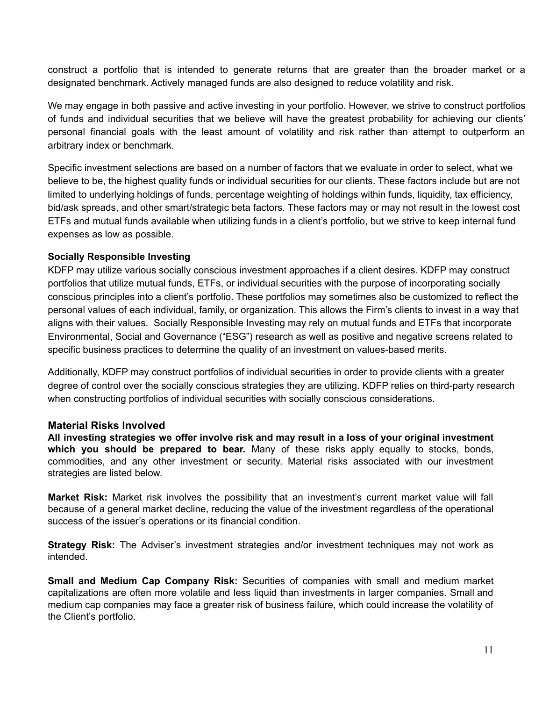construct a portfolio that is intended to generate returns that are greater than the broader market or a designated benchmark. Actively managed funds are also designed to reduce volatility and risk.

We may engage in both passive and active investing in your portfolio. However, we strive to construct portfolios of funds and individual securities that we believe will have the greatest probability for achieving our clients' personal financial goals with the least amount of volatility and risk rather than attempt to outperform an arbitrary index or benchmark.

Specific investment selections are based on a number of factors that we evaluate in order to select, what we believe to be, the highest quality funds or individual securities for our clients. These factors include but are not limited to underlying holdings of funds, percentage weighting of holdings within funds, liquidity, tax efficiency, bid/ask spreads, and other smart/strategic beta factors. These factors may or may not result in the lowest cost ETFs and mutual funds available when utilizing funds in a client's portfolio, but we strive to keep internal fund expenses as low as possible.

#### **Socially Responsible Investing**

KDFP may utilize various socially conscious investment approaches if a client desires. KDFP may construct portfolios that utilize mutual funds, ETFs, or individual securities with the purpose of incorporating socially conscious principles into a client's portfolio. These portfolios may sometimes also be customized to reflect the personal values of each individual, family, or organization. This allows the Firm's clients to invest in a way that aligns with their values. Socially Responsible Investing may rely on mutual funds and ETFs that incorporate Environmental, Social and Governance ("ESG") research as well as positive and negative screens related to specific business practices to determine the quality of an investment on values-based merits.

Additionally, KDFP may construct portfolios of individual securities in order to provide clients with a greater degree of control over the socially conscious strategies they are utilizing. KDFP relies on third-party research when constructing portfolios of individual securities with socially conscious considerations.

#### **Material Risks Involved**

**All investing strategies we offer involve risk and may result in a loss of your original investment which you should be prepared to bear.** Many of these risks apply equally to stocks, bonds, commodities, and any other investment or security. Material risks associated with our investment strategies are listed below.

**Market Risk:** Market risk involves the possibility that an investment's current market value will fall because of a general market decline, reducing the value of the investment regardless of the operational success of the issuer's operations or its financial condition.

**Strategy Risk:** The Adviser's investment strategies and/or investment techniques may not work as intended.

**Small and Medium Cap Company Risk:** Securities of companies with small and medium market capitalizations are often more volatile and less liquid than investments in larger companies. Small and medium cap companies may face a greater risk of business failure, which could increase the volatility of the Client's portfolio.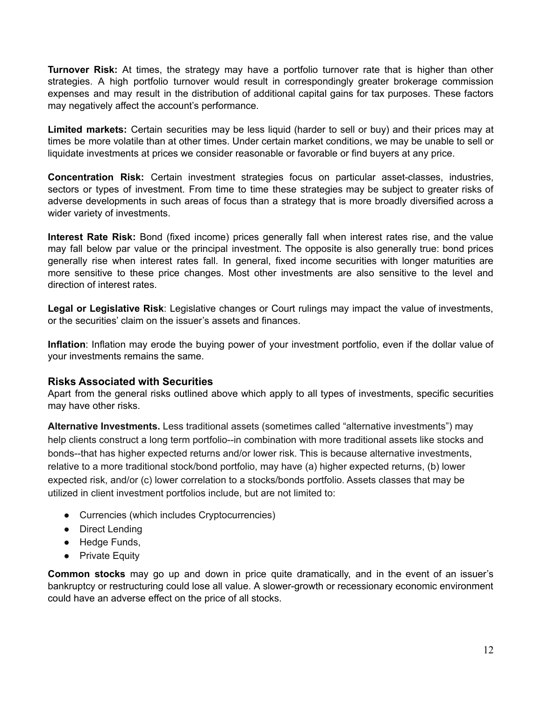**Turnover Risk:** At times, the strategy may have a portfolio turnover rate that is higher than other strategies. A high portfolio turnover would result in correspondingly greater brokerage commission expenses and may result in the distribution of additional capital gains for tax purposes. These factors may negatively affect the account's performance.

**Limited markets:** Certain securities may be less liquid (harder to sell or buy) and their prices may at times be more volatile than at other times. Under certain market conditions, we may be unable to sell or liquidate investments at prices we consider reasonable or favorable or find buyers at any price.

**Concentration Risk:** Certain investment strategies focus on particular asset-classes, industries, sectors or types of investment. From time to time these strategies may be subject to greater risks of adverse developments in such areas of focus than a strategy that is more broadly diversified across a wider variety of investments.

**Interest Rate Risk:** Bond (fixed income) prices generally fall when interest rates rise, and the value may fall below par value or the principal investment. The opposite is also generally true: bond prices generally rise when interest rates fall. In general, fixed income securities with longer maturities are more sensitive to these price changes. Most other investments are also sensitive to the level and direction of interest rates.

**Legal or Legislative Risk**: Legislative changes or Court rulings may impact the value of investments, or the securities' claim on the issuer's assets and finances.

**Inflation**: Inflation may erode the buying power of your investment portfolio, even if the dollar value of your investments remains the same.

#### **Risks Associated with Securities**

Apart from the general risks outlined above which apply to all types of investments, specific securities may have other risks.

**Alternative Investments.** Less traditional assets (sometimes called "alternative investments") may help clients construct a long term portfolio--in combination with more traditional assets like stocks and bonds--that has higher expected returns and/or lower risk. This is because alternative investments, relative to a more traditional stock/bond portfolio, may have (a) higher expected returns, (b) lower expected risk, and/or (c) lower correlation to a stocks/bonds portfolio. Assets classes that may be utilized in client investment portfolios include, but are not limited to:

- Currencies (which includes Cryptocurrencies)
- Direct Lending
- Hedge Funds,
- Private Equity

**Common stocks** may go up and down in price quite dramatically, and in the event of an issuer's bankruptcy or restructuring could lose all value. A slower-growth or recessionary economic environment could have an adverse effect on the price of all stocks.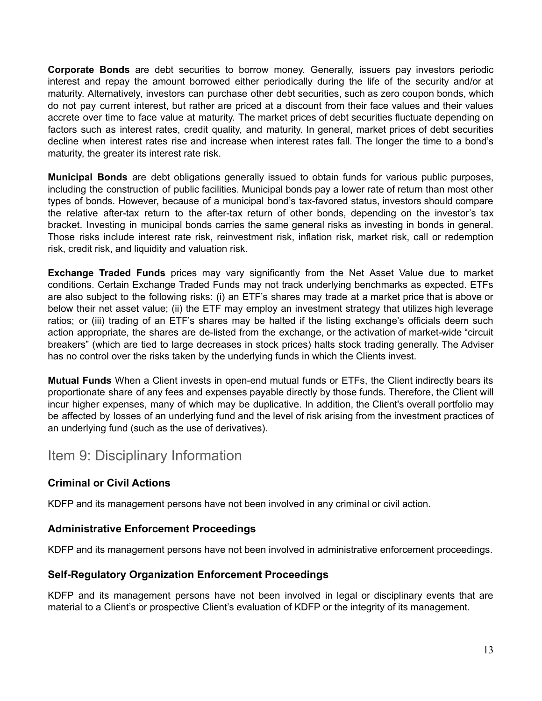**Corporate Bonds** are debt securities to borrow money. Generally, issuers pay investors periodic interest and repay the amount borrowed either periodically during the life of the security and/or at maturity. Alternatively, investors can purchase other debt securities, such as zero coupon bonds, which do not pay current interest, but rather are priced at a discount from their face values and their values accrete over time to face value at maturity. The market prices of debt securities fluctuate depending on factors such as interest rates, credit quality, and maturity. In general, market prices of debt securities decline when interest rates rise and increase when interest rates fall. The longer the time to a bond's maturity, the greater its interest rate risk.

**Municipal Bonds** are debt obligations generally issued to obtain funds for various public purposes, including the construction of public facilities. Municipal bonds pay a lower rate of return than most other types of bonds. However, because of a municipal bond's tax-favored status, investors should compare the relative after-tax return to the after-tax return of other bonds, depending on the investor's tax bracket. Investing in municipal bonds carries the same general risks as investing in bonds in general. Those risks include interest rate risk, reinvestment risk, inflation risk, market risk, call or redemption risk, credit risk, and liquidity and valuation risk.

**Exchange Traded Funds** prices may vary significantly from the Net Asset Value due to market conditions. Certain Exchange Traded Funds may not track underlying benchmarks as expected. ETFs are also subject to the following risks: (i) an ETF's shares may trade at a market price that is above or below their net asset value; (ii) the ETF may employ an investment strategy that utilizes high leverage ratios; or (iii) trading of an ETF's shares may be halted if the listing exchange's officials deem such action appropriate, the shares are de-listed from the exchange, or the activation of market-wide "circuit breakers" (which are tied to large decreases in stock prices) halts stock trading generally. The Adviser has no control over the risks taken by the underlying funds in which the Clients invest.

**Mutual Funds** When a Client invests in open-end mutual funds or ETFs, the Client indirectly bears its proportionate share of any fees and expenses payable directly by those funds. Therefore, the Client will incur higher expenses, many of which may be duplicative. In addition, the Client's overall portfolio may be affected by losses of an underlying fund and the level of risk arising from the investment practices of an underlying fund (such as the use of derivatives).

## <span id="page-12-0"></span>Item 9: Disciplinary Information

## **Criminal or Civil Actions**

KDFP and its management persons have not been involved in any criminal or civil action.

#### **Administrative Enforcement Proceedings**

KDFP and its management persons have not been involved in administrative enforcement proceedings.

#### **Self-Regulatory Organization Enforcement Proceedings**

KDFP and its management persons have not been involved in legal or disciplinary events that are material to a Client's or prospective Client's evaluation of KDFP or the integrity of its management.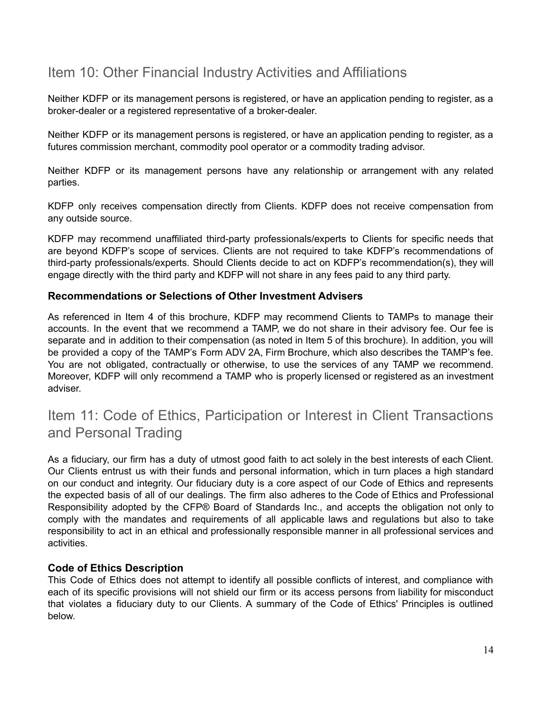# <span id="page-13-0"></span>Item 10: Other Financial Industry Activities and Affiliations

Neither KDFP or its management persons is registered, or have an application pending to register, as a broker-dealer or a registered representative of a broker-dealer.

Neither KDFP or its management persons is registered, or have an application pending to register, as a futures commission merchant, commodity pool operator or a commodity trading advisor.

Neither KDFP or its management persons have any relationship or arrangement with any related parties.

KDFP only receives compensation directly from Clients. KDFP does not receive compensation from any outside source.

KDFP may recommend unaffiliated third-party professionals/experts to Clients for specific needs that are beyond KDFP's scope of services. Clients are not required to take KDFP's recommendations of third-party professionals/experts. Should Clients decide to act on KDFP's recommendation(s), they will engage directly with the third party and KDFP will not share in any fees paid to any third party.

### **Recommendations or Selections of Other Investment Advisers**

As referenced in Item 4 of this brochure, KDFP may recommend Clients to TAMPs to manage their accounts. In the event that we recommend a TAMP, we do not share in their advisory fee. Our fee is separate and in addition to their compensation (as noted in Item 5 of this brochure). In addition, you will be provided a copy of the TAMP's Form ADV 2A, Firm Brochure, which also describes the TAMP's fee. You are not obligated, contractually or otherwise, to use the services of any TAMP we recommend. Moreover, KDFP will only recommend a TAMP who is properly licensed or registered as an investment adviser.

# <span id="page-13-1"></span>Item 11: Code of Ethics, Participation or Interest in Client Transactions and Personal Trading

As a fiduciary, our firm has a duty of utmost good faith to act solely in the best interests of each Client. Our Clients entrust us with their funds and personal information, which in turn places a high standard on our conduct and integrity. Our fiduciary duty is a core aspect of our Code of Ethics and represents the expected basis of all of our dealings. The firm also adheres to the Code of Ethics and Professional Responsibility adopted by the CFP® Board of Standards Inc., and accepts the obligation not only to comply with the mandates and requirements of all applicable laws and regulations but also to take responsibility to act in an ethical and professionally responsible manner in all professional services and activities.

#### **Code of Ethics Description**

This Code of Ethics does not attempt to identify all possible conflicts of interest, and compliance with each of its specific provisions will not shield our firm or its access persons from liability for misconduct that violates a fiduciary duty to our Clients. A summary of the Code of Ethics' Principles is outlined below.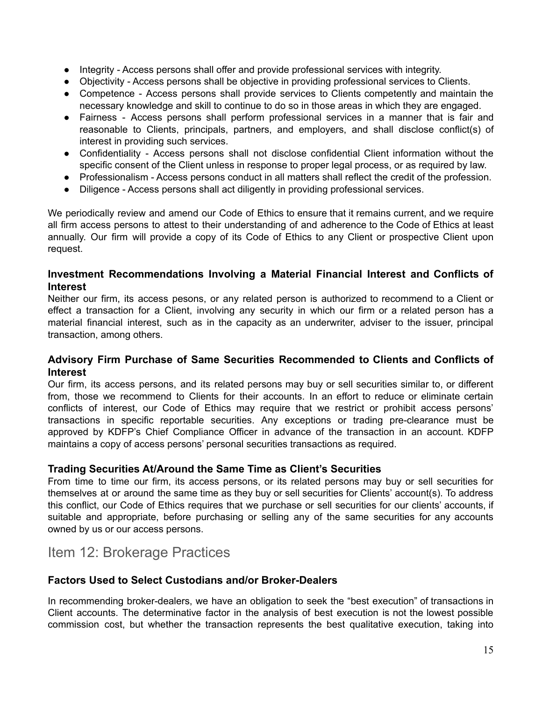- Integrity Access persons shall offer and provide professional services with integrity.
- Objectivity Access persons shall be objective in providing professional services to Clients.
- Competence Access persons shall provide services to Clients competently and maintain the necessary knowledge and skill to continue to do so in those areas in which they are engaged.
- Fairness Access persons shall perform professional services in a manner that is fair and reasonable to Clients, principals, partners, and employers, and shall disclose conflict(s) of interest in providing such services.
- Confidentiality Access persons shall not disclose confidential Client information without the specific consent of the Client unless in response to proper legal process, or as required by law.
- Professionalism Access persons conduct in all matters shall reflect the credit of the profession.
- Diligence Access persons shall act diligently in providing professional services.

We periodically review and amend our Code of Ethics to ensure that it remains current, and we require all firm access persons to attest to their understanding of and adherence to the Code of Ethics at least annually. Our firm will provide a copy of its Code of Ethics to any Client or prospective Client upon request.

#### **Investment Recommendations Involving a Material Financial Interest and Conflicts of Interest**

Neither our firm, its access pesons, or any related person is authorized to recommend to a Client or effect a transaction for a Client, involving any security in which our firm or a related person has a material financial interest, such as in the capacity as an underwriter, adviser to the issuer, principal transaction, among others.

#### **Advisory Firm Purchase of Same Securities Recommended to Clients and Conflicts of Interest**

Our firm, its access persons, and its related persons may buy or sell securities similar to, or different from, those we recommend to Clients for their accounts. In an effort to reduce or eliminate certain conflicts of interest, our Code of Ethics may require that we restrict or prohibit access persons' transactions in specific reportable securities. Any exceptions or trading pre-clearance must be approved by KDFP's Chief Compliance Officer in advance of the transaction in an account. KDFP maintains a copy of access persons' personal securities transactions as required.

## **Trading Securities At/Around the Same Time as Client's Securities**

From time to time our firm, its access persons, or its related persons may buy or sell securities for themselves at or around the same time as they buy or sell securities for Clients' account(s). To address this conflict, our Code of Ethics requires that we purchase or sell securities for our clients' accounts, if suitable and appropriate, before purchasing or selling any of the same securities for any accounts owned by us or our access persons.

# <span id="page-14-0"></span>Item 12: Brokerage Practices

## **Factors Used to Select Custodians and/or Broker-Dealers**

In recommending broker-dealers, we have an obligation to seek the "best execution" of transactions in Client accounts. The determinative factor in the analysis of best execution is not the lowest possible commission cost, but whether the transaction represents the best qualitative execution, taking into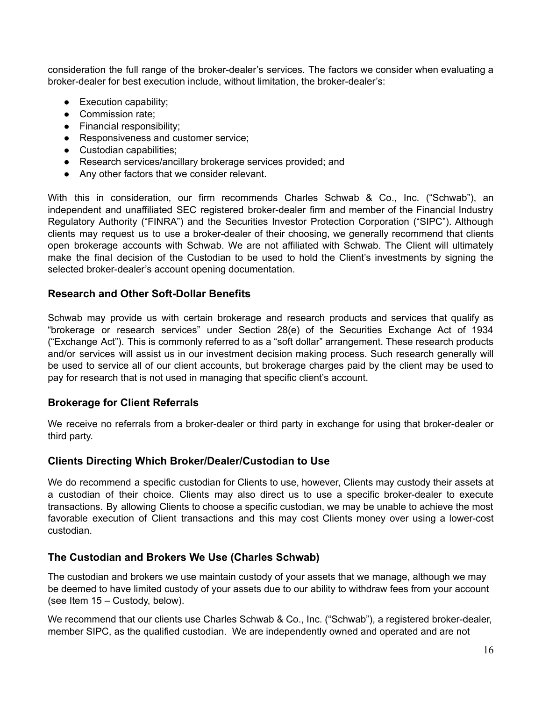consideration the full range of the broker-dealer's services. The factors we consider when evaluating a broker-dealer for best execution include, without limitation, the broker-dealer's:

- Execution capability;
- Commission rate:
- Financial responsibility;
- Responsiveness and customer service;
- Custodian capabilities;
- Research services/ancillary brokerage services provided; and
- Any other factors that we consider relevant.

With this in consideration, our firm recommends Charles Schwab & Co., Inc. ("Schwab"), an independent and unaffiliated SEC registered broker-dealer firm and member of the Financial Industry Regulatory Authority ("FINRA") and the Securities Investor Protection Corporation ("SIPC"). Although clients may request us to use a broker-dealer of their choosing, we generally recommend that clients open brokerage accounts with Schwab. We are not affiliated with Schwab. The Client will ultimately make the final decision of the Custodian to be used to hold the Client's investments by signing the selected broker-dealer's account opening documentation.

#### **Research and Other Soft-Dollar Benefits**

Schwab may provide us with certain brokerage and research products and services that qualify as "brokerage or research services" under Section 28(e) of the Securities Exchange Act of 1934 ("Exchange Act"). This is commonly referred to as a "soft dollar" arrangement. These research products and/or services will assist us in our investment decision making process. Such research generally will be used to service all of our client accounts, but brokerage charges paid by the client may be used to pay for research that is not used in managing that specific client's account.

#### **Brokerage for Client Referrals**

We receive no referrals from a broker-dealer or third party in exchange for using that broker-dealer or third party.

#### **Clients Directing Which Broker/Dealer/Custodian to Use**

We do recommend a specific custodian for Clients to use, however, Clients may custody their assets at a custodian of their choice. Clients may also direct us to use a specific broker-dealer to execute transactions. By allowing Clients to choose a specific custodian, we may be unable to achieve the most favorable execution of Client transactions and this may cost Clients money over using a lower-cost custodian.

#### **The Custodian and Brokers We Use (Charles Schwab)**

The custodian and brokers we use maintain custody of your assets that we manage, although we may be deemed to have limited custody of your assets due to our ability to withdraw fees from your account (see Item 15 – Custody, below).

We recommend that our clients use Charles Schwab & Co., Inc. ("Schwab"), a registered broker-dealer, member SIPC, as the qualified custodian. We are independently owned and operated and are not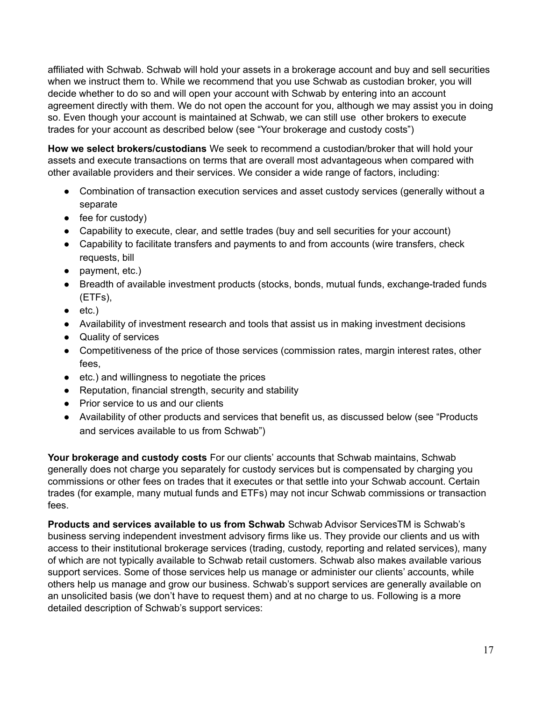affiliated with Schwab. Schwab will hold your assets in a brokerage account and buy and sell securities when we instruct them to. While we recommend that you use Schwab as custodian broker, you will decide whether to do so and will open your account with Schwab by entering into an account agreement directly with them. We do not open the account for you, although we may assist you in doing so. Even though your account is maintained at Schwab, we can still use other brokers to execute trades for your account as described below (see "Your brokerage and custody costs")

**How we select brokers/custodians** We seek to recommend a custodian/broker that will hold your assets and execute transactions on terms that are overall most advantageous when compared with other available providers and their services. We consider a wide range of factors, including:

- Combination of transaction execution services and asset custody services (generally without a separate
- $\bullet$  fee for custody)
- Capability to execute, clear, and settle trades (buy and sell securities for your account)
- Capability to facilitate transfers and payments to and from accounts (wire transfers, check requests, bill
- payment, etc.)
- Breadth of available investment products (stocks, bonds, mutual funds, exchange-traded funds (ETFs),
- $\bullet$  etc.)
- Availability of investment research and tools that assist us in making investment decisions
- Quality of services
- Competitiveness of the price of those services (commission rates, margin interest rates, other fees,
- etc.) and willingness to negotiate the prices
- Reputation, financial strength, security and stability
- Prior service to us and our clients
- Availability of other products and services that benefit us, as discussed below (see "Products and services available to us from Schwab")

**Your brokerage and custody costs** For our clients' accounts that Schwab maintains, Schwab generally does not charge you separately for custody services but is compensated by charging you commissions or other fees on trades that it executes or that settle into your Schwab account. Certain trades (for example, many mutual funds and ETFs) may not incur Schwab commissions or transaction fees.

**Products and services available to us from Schwab** Schwab Advisor ServicesTM is Schwab's business serving independent investment advisory firms like us. They provide our clients and us with access to their institutional brokerage services (trading, custody, reporting and related services), many of which are not typically available to Schwab retail customers. Schwab also makes available various support services. Some of those services help us manage or administer our clients' accounts, while others help us manage and grow our business. Schwab's support services are generally available on an unsolicited basis (we don't have to request them) and at no charge to us. Following is a more detailed description of Schwab's support services: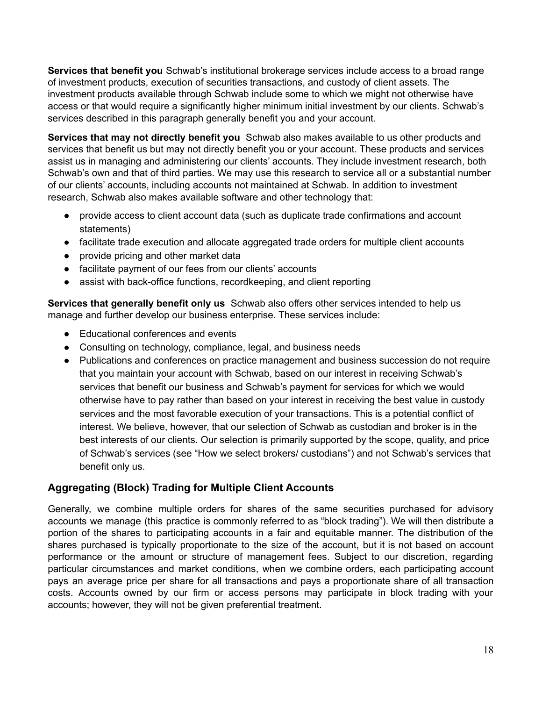**Services that benefit you** Schwab's institutional brokerage services include access to a broad range of investment products, execution of securities transactions, and custody of client assets. The investment products available through Schwab include some to which we might not otherwise have access or that would require a significantly higher minimum initial investment by our clients. Schwab's services described in this paragraph generally benefit you and your account.

**Services that may not directly benefit you** Schwab also makes available to us other products and services that benefit us but may not directly benefit you or your account. These products and services assist us in managing and administering our clients' accounts. They include investment research, both Schwab's own and that of third parties. We may use this research to service all or a substantial number of our clients' accounts, including accounts not maintained at Schwab. In addition to investment research, Schwab also makes available software and other technology that:

- provide access to client account data (such as duplicate trade confirmations and account statements)
- facilitate trade execution and allocate aggregated trade orders for multiple client accounts
- provide pricing and other market data
- facilitate payment of our fees from our clients' accounts
- assist with back-office functions, recordkeeping, and client reporting

**Services that generally benefit only us** Schwab also offers other services intended to help us manage and further develop our business enterprise. These services include:

- Educational conferences and events
- Consulting on technology, compliance, legal, and business needs
- Publications and conferences on practice management and business succession do not require that you maintain your account with Schwab, based on our interest in receiving Schwab's services that benefit our business and Schwab's payment for services for which we would otherwise have to pay rather than based on your interest in receiving the best value in custody services and the most favorable execution of your transactions. This is a potential conflict of interest. We believe, however, that our selection of Schwab as custodian and broker is in the best interests of our clients. Our selection is primarily supported by the scope, quality, and price of Schwab's services (see "How we select brokers/ custodians") and not Schwab's services that benefit only us.

## **Aggregating (Block) Trading for Multiple Client Accounts**

Generally, we combine multiple orders for shares of the same securities purchased for advisory accounts we manage (this practice is commonly referred to as "block trading"). We will then distribute a portion of the shares to participating accounts in a fair and equitable manner. The distribution of the shares purchased is typically proportionate to the size of the account, but it is not based on account performance or the amount or structure of management fees. Subject to our discretion, regarding particular circumstances and market conditions, when we combine orders, each participating account pays an average price per share for all transactions and pays a proportionate share of all transaction costs. Accounts owned by our firm or access persons may participate in block trading with your accounts; however, they will not be given preferential treatment.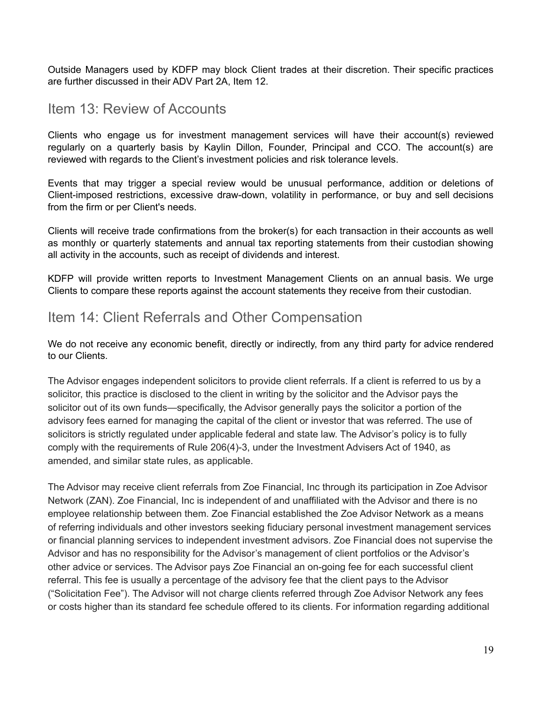Outside Managers used by KDFP may block Client trades at their discretion. Their specific practices are further discussed in their ADV Part 2A, Item 12.

## <span id="page-18-0"></span>Item 13: Review of Accounts

Clients who engage us for investment management services will have their account(s) reviewed regularly on a quarterly basis by Kaylin Dillon, Founder, Principal and CCO. The account(s) are reviewed with regards to the Client's investment policies and risk tolerance levels.

Events that may trigger a special review would be unusual performance, addition or deletions of Client-imposed restrictions, excessive draw-down, volatility in performance, or buy and sell decisions from the firm or per Client's needs.

Clients will receive trade confirmations from the broker(s) for each transaction in their accounts as well as monthly or quarterly statements and annual tax reporting statements from their custodian showing all activity in the accounts, such as receipt of dividends and interest.

KDFP will provide written reports to Investment Management Clients on an annual basis. We urge Clients to compare these reports against the account statements they receive from their custodian.

## <span id="page-18-1"></span>Item 14: Client Referrals and Other Compensation

We do not receive any economic benefit, directly or indirectly, from any third party for advice rendered to our Clients.

The Advisor engages independent solicitors to provide client referrals. If a client is referred to us by a solicitor, this practice is disclosed to the client in writing by the solicitor and the Advisor pays the solicitor out of its own funds—specifically, the Advisor generally pays the solicitor a portion of the advisory fees earned for managing the capital of the client or investor that was referred. The use of solicitors is strictly regulated under applicable federal and state law. The Advisor's policy is to fully comply with the requirements of Rule 206(4)-3, under the Investment Advisers Act of 1940, as amended, and similar state rules, as applicable.

The Advisor may receive client referrals from Zoe Financial, Inc through its participation in Zoe Advisor Network (ZAN). Zoe Financial, Inc is independent of and unaffiliated with the Advisor and there is no employee relationship between them. Zoe Financial established the Zoe Advisor Network as a means of referring individuals and other investors seeking fiduciary personal investment management services or financial planning services to independent investment advisors. Zoe Financial does not supervise the Advisor and has no responsibility for the Advisor's management of client portfolios or the Advisor's other advice or services. The Advisor pays Zoe Financial an on-going fee for each successful client referral. This fee is usually a percentage of the advisory fee that the client pays to the Advisor ("Solicitation Fee"). The Advisor will not charge clients referred through Zoe Advisor Network any fees or costs higher than its standard fee schedule offered to its clients. For information regarding additional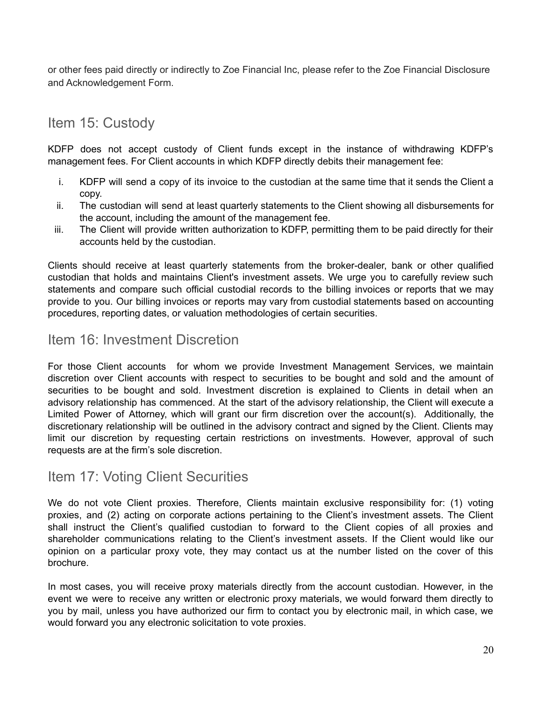or other fees paid directly or indirectly to Zoe Financial Inc, please refer to the Zoe Financial Disclosure and Acknowledgement Form.

# <span id="page-19-0"></span>Item 15: Custody

KDFP does not accept custody of Client funds except in the instance of withdrawing KDFP's management fees. For Client accounts in which KDFP directly debits their management fee:

- i. KDFP will send a copy of its invoice to the custodian at the same time that it sends the Client a copy.
- ii. The custodian will send at least quarterly statements to the Client showing all disbursements for the account, including the amount of the management fee.
- iii. The Client will provide written authorization to KDFP, permitting them to be paid directly for their accounts held by the custodian.

Clients should receive at least quarterly statements from the broker-dealer, bank or other qualified custodian that holds and maintains Client's investment assets. We urge you to carefully review such statements and compare such official custodial records to the billing invoices or reports that we may provide to you. Our billing invoices or reports may vary from custodial statements based on accounting procedures, reporting dates, or valuation methodologies of certain securities.

## <span id="page-19-1"></span>Item 16: Investment Discretion

For those Client accounts for whom we provide Investment Management Services, we maintain discretion over Client accounts with respect to securities to be bought and sold and the amount of securities to be bought and sold. Investment discretion is explained to Clients in detail when an advisory relationship has commenced. At the start of the advisory relationship, the Client will execute a Limited Power of Attorney, which will grant our firm discretion over the account(s). Additionally, the discretionary relationship will be outlined in the advisory contract and signed by the Client. Clients may limit our discretion by requesting certain restrictions on investments. However, approval of such requests are at the firm's sole discretion.

## <span id="page-19-2"></span>Item 17: Voting Client Securities

We do not vote Client proxies. Therefore, Clients maintain exclusive responsibility for: (1) voting proxies, and (2) acting on corporate actions pertaining to the Client's investment assets. The Client shall instruct the Client's qualified custodian to forward to the Client copies of all proxies and shareholder communications relating to the Client's investment assets. If the Client would like our opinion on a particular proxy vote, they may contact us at the number listed on the cover of this brochure.

In most cases, you will receive proxy materials directly from the account custodian. However, in the event we were to receive any written or electronic proxy materials, we would forward them directly to you by mail, unless you have authorized our firm to contact you by electronic mail, in which case, we would forward you any electronic solicitation to vote proxies.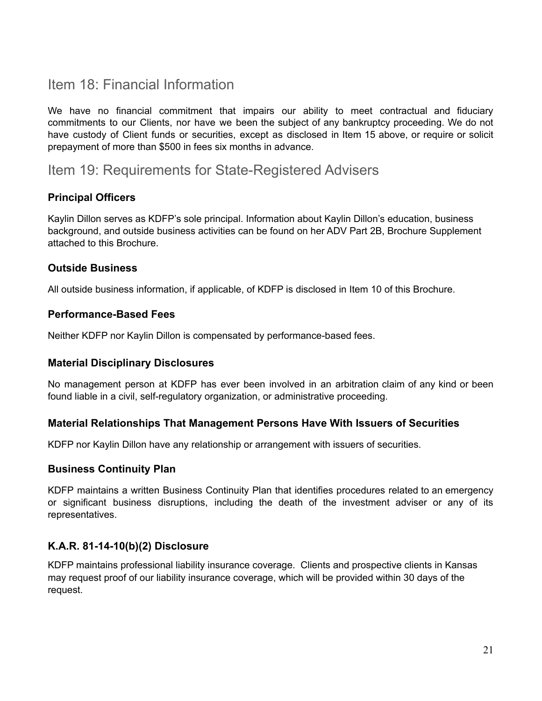# <span id="page-20-0"></span>Item 18: Financial Information

We have no financial commitment that impairs our ability to meet contractual and fiduciary commitments to our Clients, nor have we been the subject of any bankruptcy proceeding. We do not have custody of Client funds or securities, except as disclosed in Item 15 above, or require or solicit prepayment of more than \$500 in fees six months in advance.

## <span id="page-20-1"></span>Item 19: Requirements for State-Registered Advisers

## **Principal Officers**

Kaylin Dillon serves as KDFP's sole principal. Information about Kaylin Dillon's education, business background, and outside business activities can be found on her ADV Part 2B, Brochure Supplement attached to this Brochure.

#### **Outside Business**

All outside business information, if applicable, of KDFP is disclosed in Item 10 of this Brochure.

#### **Performance-Based Fees**

Neither KDFP nor Kaylin Dillon is compensated by performance-based fees.

#### **Material Disciplinary Disclosures**

No management person at KDFP has ever been involved in an arbitration claim of any kind or been found liable in a civil, self-regulatory organization, or administrative proceeding.

#### **Material Relationships That Management Persons Have With Issuers of Securities**

KDFP nor Kaylin Dillon have any relationship or arrangement with issuers of securities.

#### **Business Continuity Plan**

KDFP maintains a written Business Continuity Plan that identifies procedures related to an emergency or significant business disruptions, including the death of the investment adviser or any of its representatives.

#### **K.A.R. 81-14-10(b)(2) Disclosure**

KDFP maintains professional liability insurance coverage. Clients and prospective clients in Kansas may request proof of our liability insurance coverage, which will be provided within 30 days of the request.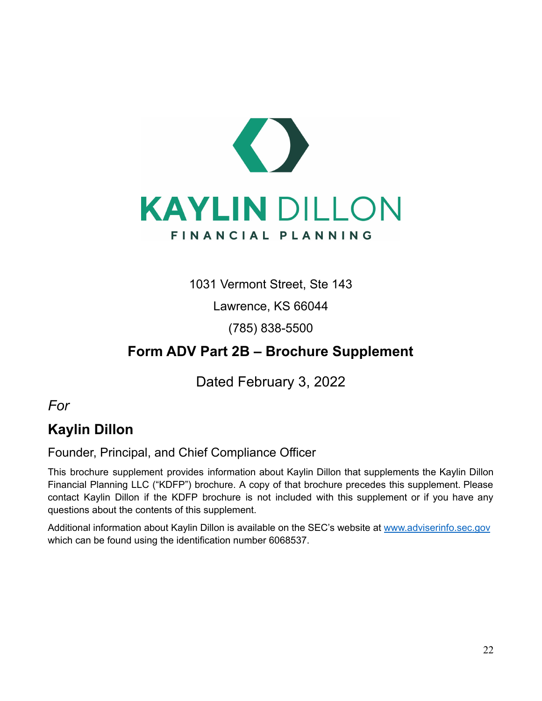

1031 Vermont Street, Ste 143

Lawrence, KS 66044

(785) 838-5500

# **Form ADV Part 2B – Brochure Supplement**

Dated February 3, 2022

<span id="page-21-0"></span>*For*

# **Kaylin Dillon**

Founder, Principal, and Chief Compliance Officer

This brochure supplement provides information about Kaylin Dillon that supplements the Kaylin Dillon Financial Planning LLC ("KDFP") brochure. A copy of that brochure precedes this supplement. Please contact Kaylin Dillon if the KDFP brochure is not included with this supplement or if you have any questions about the contents of this supplement.

Additional information about Kaylin Dillon is available on the SEC's website at [www.adviserinfo.sec.gov](http://www.adviserinfo.sec.gov) which can be found using the identification number 6068537.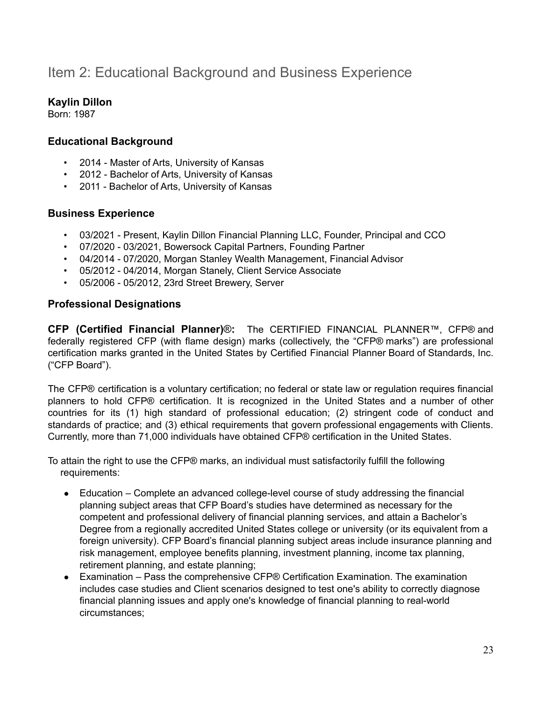# Item 2: Educational Background and Business Experience

## **Kaylin Dillon**

Born: 1987

### **Educational Background**

- 2014 Master of Arts, University of Kansas
- 2012 Bachelor of Arts, University of Kansas
- 2011 Bachelor of Arts, University of Kansas

#### **Business Experience**

- 03/2021 Present, Kaylin Dillon Financial Planning LLC, Founder, Principal and CCO
- 07/2020 03/2021, Bowersock Capital Partners, Founding Partner
- 04/2014 07/2020, Morgan Stanley Wealth Management, Financial Advisor
- 05/2012 04/2014, Morgan Stanely, Client Service Associate
- 05/2006 05/2012, 23rd Street Brewery, Server

### **Professional Designations**

**CFP (Certified Financial Planner)**®**:** The CERTIFIED FINANCIAL PLANNER™, CFP® and federally registered CFP (with flame design) marks (collectively, the "CFP® marks") are professional certification marks granted in the United States by Certified Financial Planner Board of Standards, Inc. ("CFP Board").

The CFP® certification is a voluntary certification; no federal or state law or regulation requires financial planners to hold CFP® certification. It is recognized in the United States and a number of other countries for its (1) high standard of professional education; (2) stringent code of conduct and standards of practice; and (3) ethical requirements that govern professional engagements with Clients. Currently, more than 71,000 individuals have obtained CFP® certification in the United States.

To attain the right to use the CFP® marks, an individual must satisfactorily fulfill the following requirements:

- Education Complete an advanced college-level course of study addressing the financial planning subject areas that CFP Board's studies have determined as necessary for the competent and professional delivery of financial planning services, and attain a Bachelor's Degree from a regionally accredited United States college or university (or its equivalent from a foreign university). CFP Board's financial planning subject areas include insurance planning and risk management, employee benefits planning, investment planning, income tax planning, retirement planning, and estate planning;
- Examination Pass the comprehensive CFP® Certification Examination. The examination includes case studies and Client scenarios designed to test one's ability to correctly diagnose financial planning issues and apply one's knowledge of financial planning to real-world circumstances;